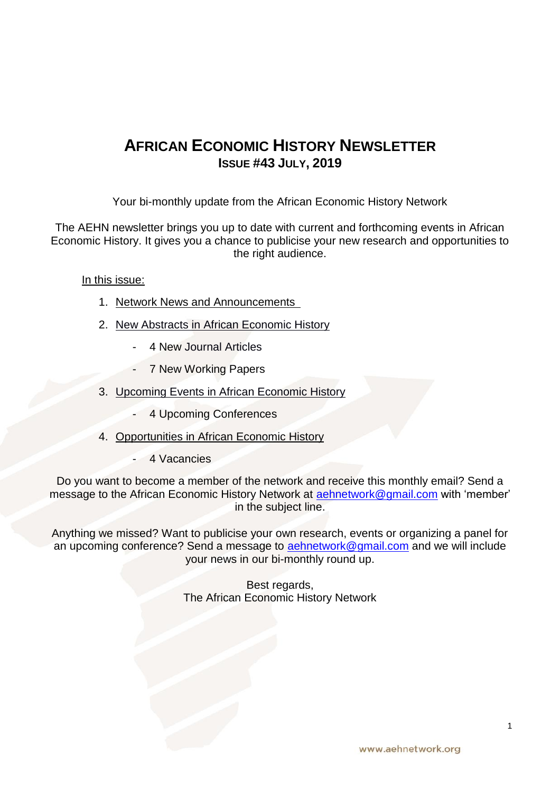### **AFRICAN ECONOMIC HISTORY NEWSLETTER ISSUE #43 JULY, 2019**

Your bi-monthly update from the African Economic History Network

The AEHN newsletter brings you up to date with current and forthcoming events in African Economic History. It gives you a chance to publicise your new research and opportunities to the right audience.

In this issue:

- 1. [Network News and Announcements](#page-0-0)
- 2. [New Abstracts in African Economic History](#page-1-0)
	- 4 New Journal Articles
	- 7 New Working Papers
- 3. Upcoming Events in African Economic History
	- 4 Upcoming Conferences
- 4. Opportunities in African Economic History
	- 4 Vacancies

Do you want to become a member of the network and receive this monthly email? Send a message to the African Economic History Network at [aehnetwork@gmail.com](mailto:aehnetwork@gmail.com) with 'member' in the subject line.

<span id="page-0-0"></span>Anything we missed? Want to publicise your own research, events or organizing a panel for an upcoming conference? Send a message to [aehnetwork@gmail.com](mailto:aehnetwork@gmail.com) and we will include your news in our bi-monthly round up.

> Best regards, The African Economic History Network

1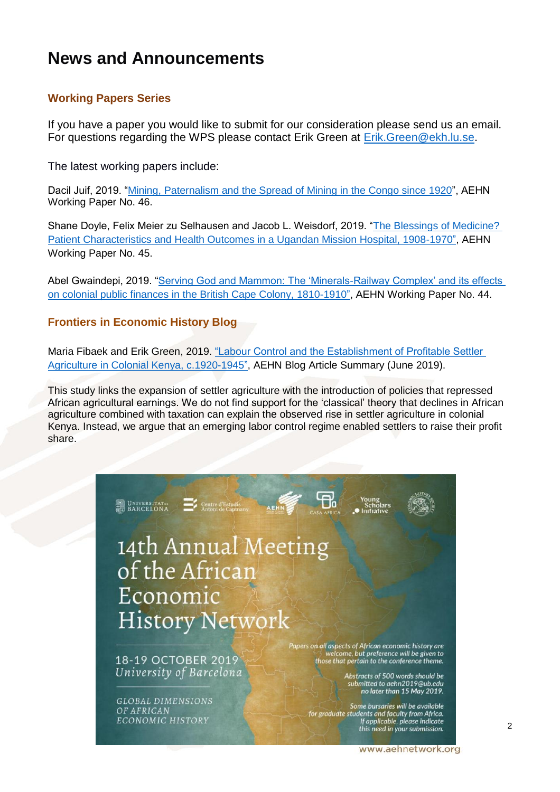### **News and Announcements**

#### **Working Papers Series**

If you have a paper you would like to submit for our consideration please send us an email. For questions regarding the WPS please contact Erik Green at [Erik.Green@ekh.lu.se.](mailto:Erik.Green@ekh.lu.se)

The latest working papers include:

<span id="page-1-0"></span>Dacil Juif, 2019. ["Mining, Paternalism and the Spread of Mining in the Congo since 1920"](https://www.aehnetwork.org/working-papers/mining-paternalism-and-the-spread-of-education-in-the-congo-since-1920/), AEHN Working Paper No. 46.

Shane Doyle, Felix Meier zu Selhausen and Jacob L. Weisdorf, 2019. ["The Blessings of Medicine?](https://www.aehnetwork.org/wp-content/uploads/2019/03/AEHN-WP-45.pdf)  [Patient Characteristics and Health Outcomes in a Ugandan Mission Hospital, 1908-1970",](https://www.aehnetwork.org/wp-content/uploads/2019/03/AEHN-WP-45.pdf) AEHN Working Paper No. 45.

Abel Gwaindepi, 2019. "Serving God and Mammon: The 'Minerals-Railway Complex' and its effects [on colonial public finances in the British Cape Colony, 1810-1910",](https://www.aehnetwork.org/wp-content/uploads/2019/03/AEHN-WP-44.pdf) AEHN Working Paper No. 44.

#### **Frontiers in Economic History Blog**

Maria Fibaek and Erik Green, 2019. "Labour Control and the Establishment of Profitable Settler Agriculture in [Colonial Kenya, c.1920-1945",](https://www.aehnetwork.org/blog/labour-control-and-the-establishment-of-profitable-settler-agriculture-in-colonial-kenya-c-1920-45/) AEHN Blog Article Summary (June 2019).

This study links the expansion of settler agriculture with the introduction of policies that repressed African agricultural earnings. We do not find support for the "classical" theory that declines in African agriculture combined with taxation can explain the observed rise in settler agriculture in colonial Kenya. Instead, we argue that an emerging labor control regime enabled settlers to raise their profit share.

> 14th Annual Meeting of the African Economic **History Network**

18-19 OCTOBER 2019 University of Barcelona

UNIVERSITAT. Centre d'Estudis

**GLOBAL DIMENSIONS** OF AFRICAN **ECONOMIC HISTORY** 

Papers on all aspects of African economic history are<br>welcome, but preference will be given to<br>those that pertain to the conference theme.

Abstracts of 500 words should be submitted to aehn2019@ub.edu no later than 15 May 2019.

Some bursaries will be available<br>for graduate students and faculty from Africa.<br>If applicable, please indicate this need in your submission.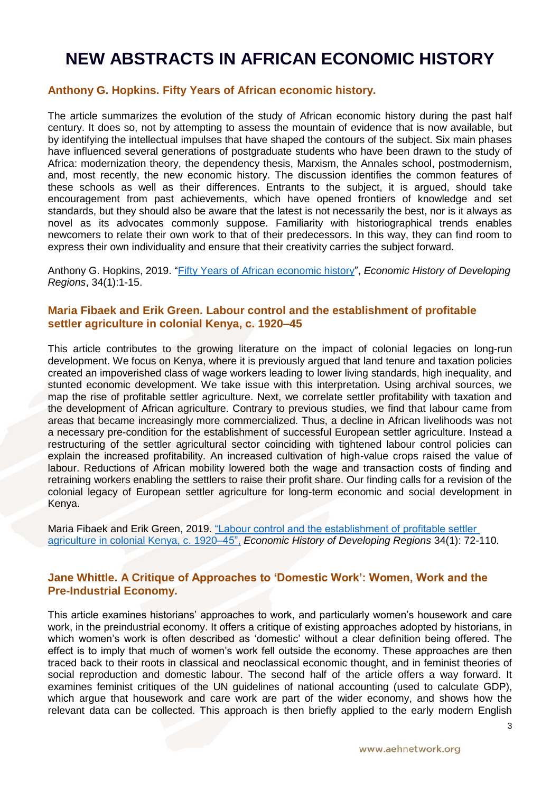# **NEW ABSTRACTS IN AFRICAN ECONOMIC HISTORY**

#### **Anthony G. Hopkins. Fifty Years of African economic history.**

The article summarizes the evolution of the study of African economic history during the past half century. It does so, not by attempting to assess the mountain of evidence that is now available, but by identifying the intellectual impulses that have shaped the contours of the subject. Six main phases have influenced several generations of postgraduate students who have been drawn to the study of Africa: modernization theory, the dependency thesis, Marxism, the Annales school, postmodernism, and, most recently, the new economic history. The discussion identifies the common features of these schools as well as their differences. Entrants to the subject, it is argued, should take encouragement from past achievements, which have opened frontiers of knowledge and set standards, but they should also be aware that the latest is not necessarily the best, nor is it always as novel as its advocates commonly suppose. Familiarity with historiographical trends enables newcomers to relate their own work to that of their predecessors. In this way, they can find room to express their own individuality and ensure that their creativity carries the subject forward.

Anthony G. Hopkins, 2019. ["Fifty Years of African economic history"](https://www.tandfonline.com/doi/abs/10.1080/20780389.2019.1575589?journalCode=rehd20), *Economic History of Developing Regions*, 34(1):1-15.

#### **Maria Fibaek and Erik Green. [Labour control and the establishment of profitable](https://journals.co.za/content/journal/10520/EJC-15d0500861)  [settler agriculture in colonial Kenya, c. 1920–45](https://journals.co.za/content/journal/10520/EJC-15d0500861)**

This article contributes to the growing literature on the impact of colonial legacies on long-run development. We focus on Kenya, where it is previously argued that land tenure and taxation policies created an impoverished class of wage workers leading to lower living standards, high inequality, and stunted economic development. We take issue with this interpretation. Using archival sources, we map the rise of profitable settler agriculture. Next, we correlate settler profitability with taxation and the development of African agriculture. Contrary to previous studies, we find that labour came from areas that became increasingly more commercialized. Thus, a decline in African livelihoods was not a necessary pre-condition for the establishment of successful European settler agriculture. Instead a restructuring of the settler agricultural sector coinciding with tightened labour control policies can explain the increased profitability. An increased cultivation of high-value crops raised the value of labour. Reductions of African mobility lowered both the wage and transaction costs of finding and retraining workers enabling the settlers to raise their profit share. Our finding calls for a revision of the colonial legacy of European settler agriculture for long-term economic and social development in Kenya.

Maria Fibaek and Erik Green, 2019. ["Labour control and the establishment of profitable settler](https://journals.co.za/content/journal/10520/EJC-15d0500861)  [agriculture in colonial Kenya, c. 1920–45",](https://journals.co.za/content/journal/10520/EJC-15d0500861) *Economic History of Developing Regions* 34(1): 72-110.

#### **Jane Whittle. A Critique of Approaches to 'Domestic Work': Women, Work and the Pre-Industrial Economy.**

This article examines historians" approaches to work, and particularly women"s housework and care work, in the preindustrial economy. It offers a critique of existing approaches adopted by historians, in which women's work is often described as 'domestic' without a clear definition being offered. The effect is to imply that much of women's work fell outside the economy. These approaches are then traced back to their roots in classical and neoclassical economic thought, and in feminist theories of social reproduction and domestic labour. The second half of the article offers a way forward. It examines feminist critiques of the UN guidelines of national accounting (used to calculate GDP), which argue that housework and care work are part of the wider economy, and shows how the relevant data can be collected. This approach is then briefly applied to the early modern English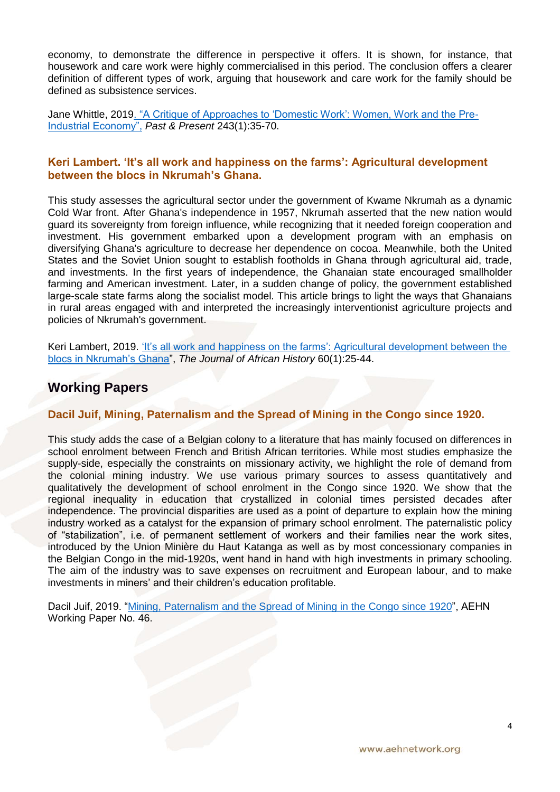economy, to demonstrate the difference in perspective it offers. It is shown, for instance, that housework and care work were highly commercialised in this period. The conclusion offers a clearer definition of different types of work, arguing that housework and care work for the family should be defined as subsistence services.

Jane Whittle, 201[9. "A Critique of Approaches to "Domestic Work": Women, Work and the Pre-](https://academic.oup.com/past/article-abstract/243/1/35/5499300?redirectedFrom=fulltext)[Industrial Economy",](https://academic.oup.com/past/article-abstract/243/1/35/5499300?redirectedFrom=fulltext) *Past & Present* 243(1):35-70.

#### **Keri Lambert. 'It's all work and happiness on the farms': Agricultural development between the blocs in Nkrumah's Ghana.**

This study assesses the agricultural sector under the government of Kwame Nkrumah as a dynamic Cold War front. After Ghana's independence in 1957, Nkrumah asserted that the new nation would guard its sovereignty from foreign influence, while recognizing that it needed foreign cooperation and investment. His government embarked upon a development program with an emphasis on diversifying Ghana's agriculture to decrease her dependence on cocoa. Meanwhile, both the United States and the Soviet Union sought to establish footholds in Ghana through agricultural aid, trade, and investments. In the first years of independence, the Ghanaian state encouraged smallholder farming and American investment. Later, in a sudden change of policy, the government established large-scale state farms along the socialist model. This article brings to light the ways that Ghanaians in rural areas engaged with and interpreted the increasingly interventionist agriculture projects and policies of Nkrumah's government.

Keri Lambert, 2019. 'It's all work and happiness on the farms': Agricultural development between the [blocs in Nkrumah"s Ghana"](https://www.cambridge.org/core/journals/journal-of-african-history/article/its-all-work-and-happiness-on-the-farms-agricultural-development-between-the-blocs-in-nkrumahs-ghana/93C3247E9D420FA71276EF03F36225B2), *The Journal of African History* 60(1):25-44.

### **Working Papers**

#### **Dacil Juif, Mining, Paternalism and the Spread of Mining in the Congo since 1920.**

This study adds the case of a Belgian colony to a literature that has mainly focused on differences in school enrolment between French and British African territories. While most studies emphasize the supply-side, especially the constraints on missionary activity, we highlight the role of demand from the colonial mining industry. We use various primary sources to assess quantitatively and qualitatively the development of school enrolment in the Congo since 1920. We show that the regional inequality in education that crystallized in colonial times persisted decades after independence. The provincial disparities are used as a point of departure to explain how the mining industry worked as a catalyst for the expansion of primary school enrolment. The paternalistic policy of "stabilization", i.e. of permanent settlement of workers and their families near the work sites, introduced by the Union Minière du Haut Katanga as well as by most concessionary companies in the Belgian Congo in the mid-1920s, went hand in hand with high investments in primary schooling. The aim of the industry was to save expenses on recruitment and European labour, and to make investments in miners' and their children's education profitable.

Dacil Juif, 2019. ["Mining, Paternalism and the Spread of Mining in the Congo since 1920"](https://www.aehnetwork.org/working-papers/mining-paternalism-and-the-spread-of-education-in-the-congo-since-1920/), AEHN Working Paper No. 46.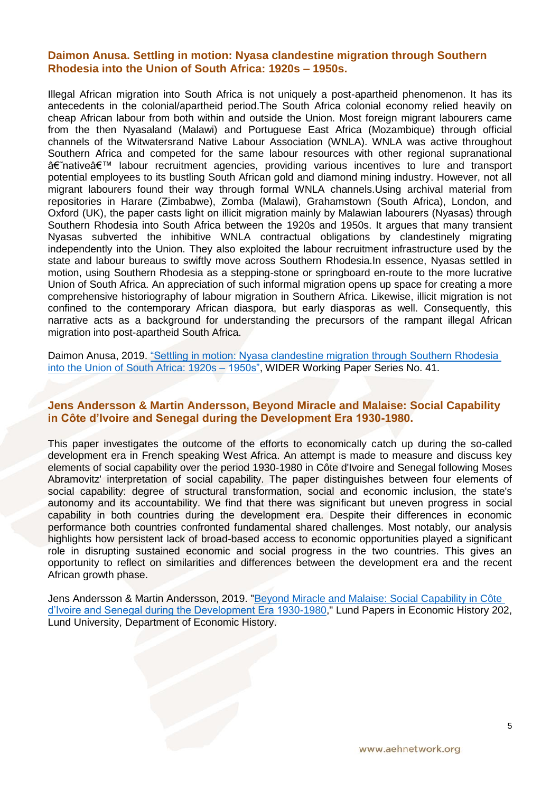#### **Daimon Anusa. Settling in motion: Nyasa clandestine migration through Southern Rhodesia into the Union of South Africa: 1920s – 1950s.**

Illegal African migration into South Africa is not uniquely a post-apartheid phenomenon. It has its antecedents in the colonial/apartheid period.The South Africa colonial economy relied heavily on cheap African labour from both within and outside the Union. Most foreign migrant labourers came from the then Nyasaland (Malawi) and Portuguese East Africa (Mozambique) through official channels of the Witwatersrand Native Labour Association (WNLA). WNLA was active throughout Southern Africa and competed for the same labour resources with other regional supranational †mative a E<sup>™</sup> labour recruitment agencies, providing various incentives to lure and transport potential employees to its bustling South African gold and diamond mining industry. However, not all migrant labourers found their way through formal WNLA channels.Using archival material from repositories in Harare (Zimbabwe), Zomba (Malawi), Grahamstown (South Africa), London, and Oxford (UK), the paper casts light on illicit migration mainly by Malawian labourers (Nyasas) through Southern Rhodesia into South Africa between the 1920s and 1950s. It argues that many transient Nyasas subverted the inhibitive WNLA contractual obligations by clandestinely migrating independently into the Union. They also exploited the labour recruitment infrastructure used by the state and labour bureaus to swiftly move across Southern Rhodesia.In essence, Nyasas settled in motion, using Southern Rhodesia as a stepping-stone or springboard en-route to the more lucrative Union of South Africa. An appreciation of such informal migration opens up space for creating a more comprehensive historiography of labour migration in Southern Africa. Likewise, illicit migration is not confined to the contemporary African diaspora, but early diasporas as well. Consequently, this narrative acts as a background for understanding the precursors of the rampant illegal African migration into post-apartheid South Africa.

Daimon Anusa, 2019. ["Settling in motion: Nyasa clandestine migration through Southern Rhodesia](https://econpapers.repec.org/scripts/redir.pf?u=http%3A%2F%2Fwww.wider.unu.edu%2Fsites%2Fdefault%2Ffiles%2FPublications%2FWorking-paper%2FPDF%2Fwp2018-41.pdf;h=repec:unu:wpaper:wp2018-41)  [into the Union of South Africa: 1920s –](https://econpapers.repec.org/scripts/redir.pf?u=http%3A%2F%2Fwww.wider.unu.edu%2Fsites%2Fdefault%2Ffiles%2FPublications%2FWorking-paper%2FPDF%2Fwp2018-41.pdf;h=repec:unu:wpaper:wp2018-41) 1950s", WIDER Working Paper Series No. 41.

#### **Jens Andersson & Martin Andersson, [Beyond Miracle and Malaise: Social Capability](https://ideas.repec.org/p/hhs/luekhi/0202.html)  [in Côte d'Ivoire and Senegal during the Development Era 1930-1980.](https://ideas.repec.org/p/hhs/luekhi/0202.html)**

This paper investigates the outcome of the efforts to economically catch up during the so-called development era in French speaking West Africa. An attempt is made to measure and discuss key elements of social capability over the period 1930-1980 in Côte d'Ivoire and Senegal following Moses Abramovitz' interpretation of social capability. The paper distinguishes between four elements of social capability: degree of structural transformation, social and economic inclusion, the state's autonomy and its accountability. We find that there was significant but uneven progress in social capability in both countries during the development era. Despite their differences in economic performance both countries confronted fundamental shared challenges. Most notably, our analysis highlights how persistent lack of broad-based access to economic opportunities played a significant role in disrupting sustained economic and social progress in the two countries. This gives an opportunity to reflect on similarities and differences between the development era and the recent African growth phase.

Jens Andersson & Martin Andersson, 2019. ["Beyond Miracle and Malaise: Social Capability in Côte](https://ideas.repec.org/p/hhs/luekhi/0202.html)  d'Ivoire and Senegal during the Development Era 1930-1980," [Lund Papers in Economic History](https://ideas.repec.org/s/hhs/luekhi.html) 202, Lund University, Department of Economic History.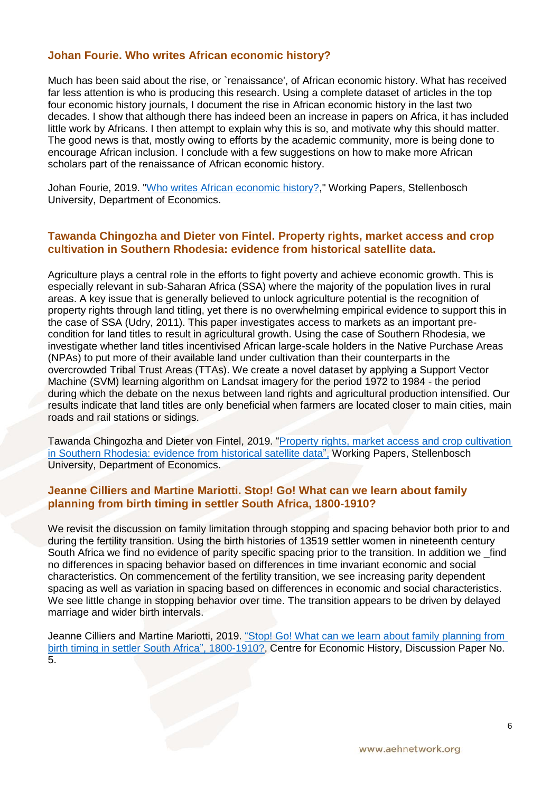#### **Johan Fourie. [Who writes African economic history?](https://ideas.repec.org/p/sza/wpaper/wpapers323.html)**

Much has been said about the rise, or `renaissance', of African economic history. What has received far less attention is who is producing this research. Using a complete dataset of articles in the top four economic history journals, I document the rise in African economic history in the last two decades. I show that although there has indeed been an increase in papers on Africa, it has included little work by Africans. I then attempt to explain why this is so, and motivate why this should matter. The good news is that, mostly owing to efforts by the academic community, more is being done to encourage African inclusion. I conclude with a few suggestions on how to make more African scholars part of the renaissance of African economic history.

Johan Fourie, 2019. ["Who writes African economic history?,](https://ideas.repec.org/p/sza/wpaper/wpapers323.html)" [Working Papers,](https://ideas.repec.org/s/sza/wpaper.html) Stellenbosch University, Department of Economics.

#### **Tawanda Chingozha and Dieter von Fintel. [Property rights, market access and crop](https://www.ekon.sun.ac.za/wpapers/2019/wp032019)  [cultivation in Southern Rhodesia: evidence from historical satellite data.](https://www.ekon.sun.ac.za/wpapers/2019/wp032019)**

Agriculture plays a central role in the efforts to fight poverty and achieve economic growth. This is especially relevant in sub-Saharan Africa (SSA) where the majority of the population lives in rural areas. A key issue that is generally believed to unlock agriculture potential is the recognition of property rights through land titling, yet there is no overwhelming empirical evidence to support this in the case of SSA (Udry, 2011). This paper investigates access to markets as an important precondition for land titles to result in agricultural growth. Using the case of Southern Rhodesia, we investigate whether land titles incentivised African large-scale holders in the Native Purchase Areas (NPAs) to put more of their available land under cultivation than their counterparts in the overcrowded Tribal Trust Areas (TTAs). We create a novel dataset by applying a Support Vector Machine (SVM) learning algorithm on Landsat imagery for the period 1972 to 1984 - the period during which the debate on the nexus between land rights and agricultural production intensified. Our results indicate that land titles are only beneficial when farmers are located closer to main cities, main roads and rail stations or sidings.

Tawanda Chingozha and Dieter von Fintel, 2019. ["Property rights, market access and crop cultivation](https://www.ekon.sun.ac.za/wpapers/2019/wp032019)  [in Southern Rhodesia: evidence from historical satellite data",](https://www.ekon.sun.ac.za/wpapers/2019/wp032019) Working Papers, Stellenbosch University, Department of Economics.

#### **Jeanne Cilliers and Martine Mariotti. [Stop! Go! What can we learn about family](http://econpapers.repec.org/RePEc:auu:hpaper:077)  [planning from birth timing in settler South Africa, 1800-1910?](http://econpapers.repec.org/RePEc:auu:hpaper:077)**

We revisit the discussion on family limitation through stopping and spacing behavior both prior to and during the fertility transition. Using the birth histories of 13519 settler women in nineteenth century South Africa we find no evidence of parity specific spacing prior to the transition. In addition we find no differences in spacing behavior based on differences in time invariant economic and social characteristics. On commencement of the fertility transition, we see increasing parity dependent spacing as well as variation in spacing based on differences in economic and social characteristics. We see little change in stopping behavior over time. The transition appears to be driven by delayed marriage and wider birth intervals.

Jeanne Cilliers and Martine Mariotti, 2019. "Stop! Go! What can we learn about family planning from [birth timing in settler South Africa", 1800-1910?,](http://econpapers.repec.org/RePEc:auu:hpaper:077) Centre for Economic History, Discussion Paper No. 5.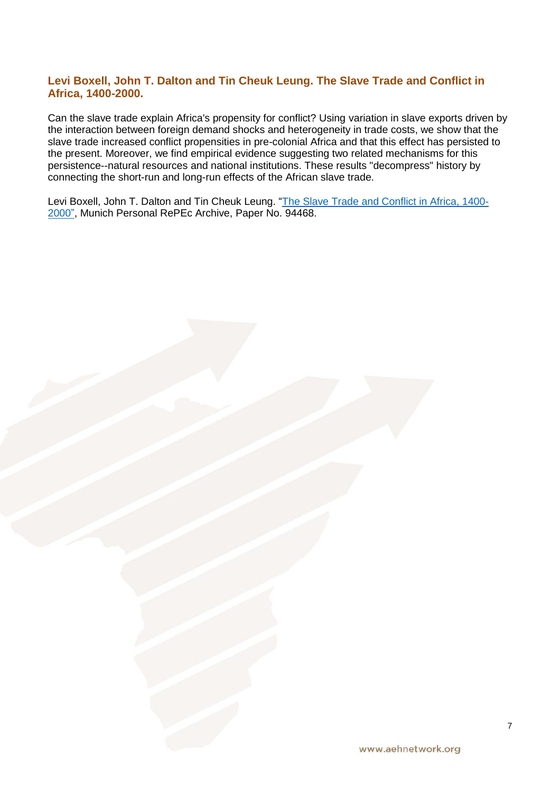#### **[Levi](http://econpapers.repec.org/scripts/search.pf?aus=Boxell,%20Levi) Boxell, John T. [Dalton](http://econpapers.repec.org/scripts/search.pf?aus=Dalton,%20John%20T.) and [Tin Cheuk](http://econpapers.repec.org/scripts/search.pf?aus=Leung,%20Tin%20Cheuk) Leung. [The Slave Trade and Conflict in](http://econpapers.repec.org/RePEc:pra:mprapa:94468)  [Africa, 1400-2000.](http://econpapers.repec.org/RePEc:pra:mprapa:94468)**

Can the slave trade explain Africa's propensity for conflict? Using variation in slave exports driven by the interaction between foreign demand shocks and heterogeneity in trade costs, we show that the slave trade increased conflict propensities in pre-colonial Africa and that this effect has persisted to the present. Moreover, we find empirical evidence suggesting two related mechanisms for this persistence--natural resources and national institutions. These results "decompress" history by connecting the short-run and long-run effects of the African slave trade.

[Levi](http://econpapers.repec.org/scripts/search.pf?aus=Boxell,%20Levi) Boxell, John T. [Dalton](http://econpapers.repec.org/scripts/search.pf?aus=Dalton,%20John%20T.) and [Tin Cheuk](http://econpapers.repec.org/scripts/search.pf?aus=Leung,%20Tin%20Cheuk) Leung. ["The Slave Trade and Conflict in Africa, 1400-](http://econpapers.repec.org/RePEc:pra:mprapa:94468) [2000",](http://econpapers.repec.org/RePEc:pra:mprapa:94468) Munich Personal RePEc Archive, Paper No. 94468.

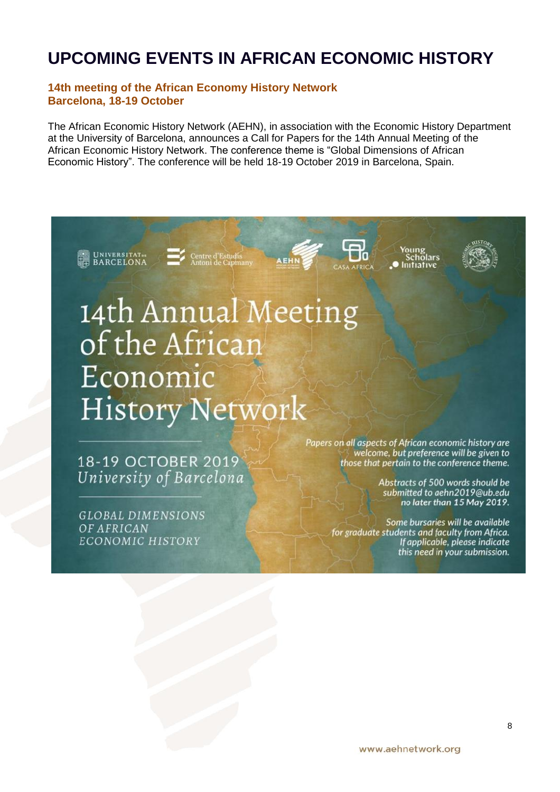# **UPCOMING EVENTS IN AFRICAN ECONOMIC HISTORY**

#### **14th meeting of the African Economy History Network Barcelona, 18-19 October**

The African Economic History Network (AEHN), in association with the Economic History Department at the University of Barcelona, announces a Call for Papers for the 14th Annual Meeting of the African Economic History Network. The conference theme is "Global Dimensions of African Economic History". The conference will be held 18-19 October 2019 in Barcelona, Spain.







14th Annual Meeting of the African Economic **History Network** 

18-19 OCTOBER 2019 University of Barcelona

**GLOBAL DIMENSIONS** OF AFRICAN **ECONOMIC HISTORY** 

Papers on all aspects of African economic history are welcome, but preference will be given to those that pertain to the conference theme.

> Abstracts of 500 words should be submitted to aehn2019@ub.edu no later than 15 May 2019.

Some bursaries will be available for graduate students and faculty from Africa. If applicable, please indicate this need in your submission.

www.aehnetwork.org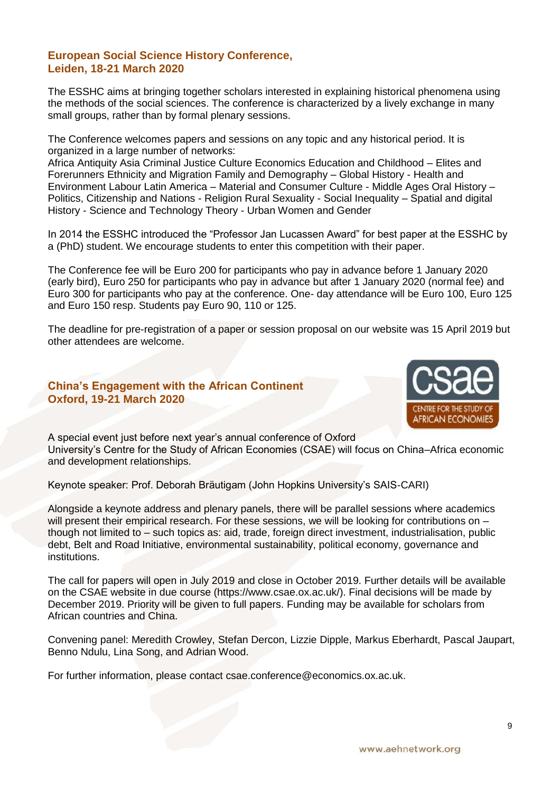#### **European Social Science History Conference, Leiden, 18-21 March 2020**

The ESSHC aims at bringing together scholars interested in explaining historical phenomena using the methods of the social sciences. The conference is characterized by a lively exchange in many small groups, rather than by formal plenary sessions.

The Conference welcomes papers and sessions on any topic and any historical period. It is organized in a large number of networks:

Africa Antiquity Asia Criminal Justice Culture Economics Education and Childhood – Elites and Forerunners Ethnicity and Migration Family and Demography – Global History - Health and Environment Labour Latin America – Material and Consumer Culture - Middle Ages Oral History – Politics, Citizenship and Nations - Religion Rural Sexuality - Social Inequality – Spatial and digital History - Science and Technology Theory - Urban Women and Gender

In 2014 the ESSHC introduced the "Professor Jan Lucassen Award" for best paper at the ESSHC by a (PhD) student. We encourage students to enter this competition with their paper.

The Conference fee will be Euro 200 for participants who pay in advance before 1 January 2020 (early bird), Euro 250 for participants who pay in advance but after 1 January 2020 (normal fee) and Euro 300 for participants who pay at the conference. One- day attendance will be Euro 100, Euro 125 and Euro 150 resp. Students pay Euro 90, 110 or 125.

The deadline for [pre-registration](https://esshc.socialhistory.org/esshc-user/pre-registration) of a paper or session proposal on our website was 15 April 2019 but other attendees are welcome.

#### **China's Engagement with the African Continent Oxford, 19-21 March 2020**



A special event just before next year"s annual conference of Oxford University"s Centre for the Study of African Economies (CSAE) will focus on China–Africa economic and development relationships.

Keynote speaker: Prof. Deborah Bräutigam (John Hopkins University"s SAIS-CARI)

Alongside a keynote address and plenary panels, there will be parallel sessions where academics will present their empirical research. For these sessions, we will be looking for contributions on – though not limited to – such topics as: aid, trade, foreign direct investment, industrialisation, public debt, Belt and Road Initiative, environmental sustainability, political economy, governance and institutions.

The call for papers will open in July 2019 and close in October 2019. Further details will be available on the CSAE website in due course (https://www.csae.ox.ac.uk/). Final decisions will be made by December 2019. Priority will be given to full papers. Funding may be available for scholars from African countries and China.

Convening panel: Meredith Crowley, Stefan Dercon, Lizzie Dipple, Markus Eberhardt, Pascal Jaupart, Benno Ndulu, Lina Song, and Adrian Wood.

For further information, please contact csae.conference@economics.ox.ac.uk.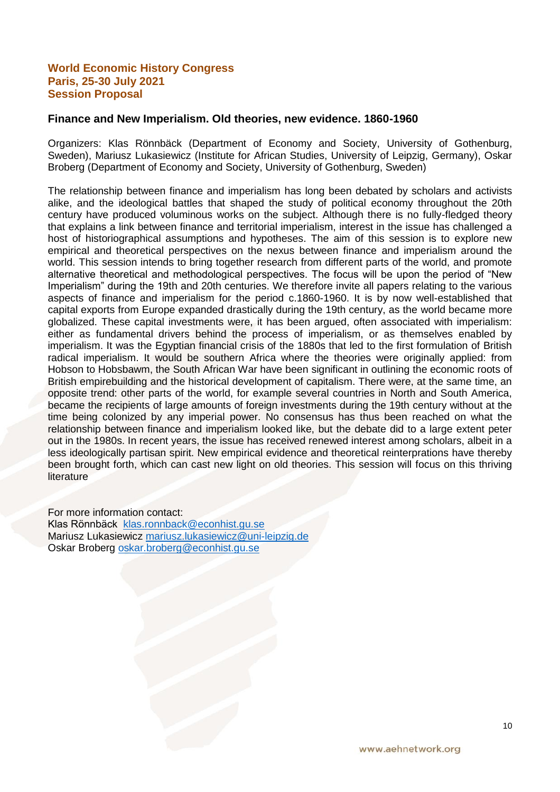#### **World Economic History Congress Paris, 25-30 July 2021 Session Proposal**

#### **Finance and New Imperialism. Old theories, new evidence. 1860-1960**

Organizers: Klas Rönnbäck (Department of Economy and Society, University of Gothenburg, Sweden), Mariusz Lukasiewicz (Institute for African Studies, University of Leipzig, Germany), Oskar Broberg (Department of Economy and Society, University of Gothenburg, Sweden)

The relationship between finance and imperialism has long been debated by scholars and activists alike, and the ideological battles that shaped the study of political economy throughout the 20th century have produced voluminous works on the subject. Although there is no fully-fledged theory that explains a link between finance and territorial imperialism, interest in the issue has challenged a host of historiographical assumptions and hypotheses. The aim of this session is to explore new empirical and theoretical perspectives on the nexus between finance and imperialism around the world. This session intends to bring together research from different parts of the world, and promote alternative theoretical and methodological perspectives. The focus will be upon the period of "New Imperialism" during the 19th and 20th centuries. We therefore invite all papers relating to the various aspects of finance and imperialism for the period c.1860-1960. It is by now well-established that capital exports from Europe expanded drastically during the 19th century, as the world became more globalized. These capital investments were, it has been argued, often associated with imperialism: either as fundamental drivers behind the process of imperialism, or as themselves enabled by imperialism. It was the Egyptian financial crisis of the 1880s that led to the first formulation of British radical imperialism. It would be southern Africa where the theories were originally applied: from Hobson to Hobsbawm, the South African War have been significant in outlining the economic roots of British empirebuilding and the historical development of capitalism. There were, at the same time, an opposite trend: other parts of the world, for example several countries in North and South America, became the recipients of large amounts of foreign investments during the 19th century without at the time being colonized by any imperial power. No consensus has thus been reached on what the relationship between finance and imperialism looked like, but the debate did to a large extent peter out in the 1980s. In recent years, the issue has received renewed interest among scholars, albeit in a less ideologically partisan spirit. New empirical evidence and theoretical reinterprations have thereby been brought forth, which can cast new light on old theories. This session will focus on this thriving literature

For more information contact: Klas Rönnbäck [klas.ronnback@econhist.gu.se](mailto:klas.ronnback@econhist.gu.se) Mariusz Lukasiewicz [mariusz.lukasiewicz@uni-leipzig.de](mailto:mariusz.lukasiewicz@uni-leipzig.de) Oskar Broberg [oskar.broberg@econhist.gu.se](mailto:oskar.broberg@econhist.gu.se)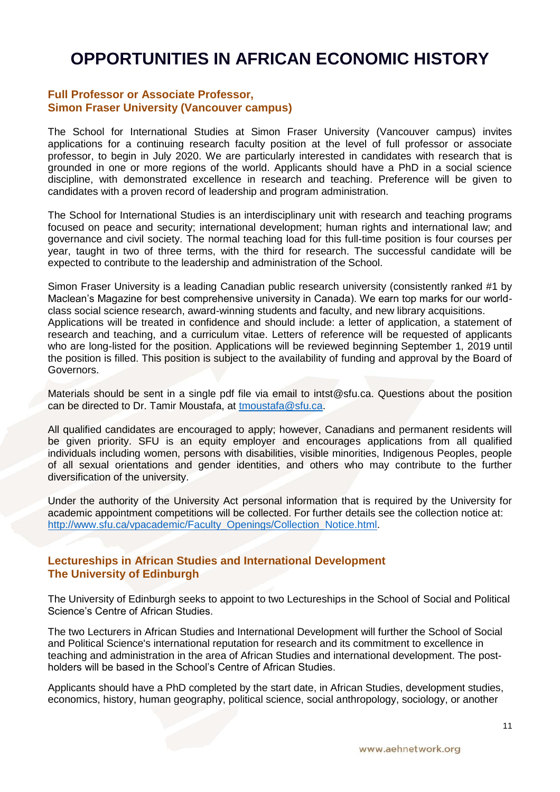## **OPPORTUNITIES IN AFRICAN ECONOMIC HISTORY**

#### **Full Professor or Associate Professor, Simon Fraser University (Vancouver campus)**

The School for International Studies at Simon Fraser University (Vancouver campus) invites applications for a continuing research faculty position at the level of full professor or associate professor, to begin in July 2020. We are particularly interested in candidates with research that is grounded in one or more regions of the world. Applicants should have a PhD in a social science discipline, with demonstrated excellence in research and teaching. Preference will be given to candidates with a proven record of leadership and program administration.

The School for International Studies is an interdisciplinary unit with research and teaching programs focused on peace and security; international development; human rights and international law; and governance and civil society. The normal teaching load for this full-time position is four courses per year, taught in two of three terms, with the third for research. The successful candidate will be expected to contribute to the leadership and administration of the School.

Simon Fraser University is a leading Canadian public research university (consistently ranked #1 by Maclean"s Magazine for best comprehensive university in Canada). We earn top marks for our worldclass social science research, award-winning students and faculty, and new library acquisitions. Applications will be treated in confidence and should include: a letter of application, a statement of research and teaching, and a curriculum vitae. Letters of reference will be requested of applicants who are long-listed for the position. Applications will be reviewed beginning September 1, 2019 until the position is filled. This position is subject to the availability of funding and approval by the Board of Governors.

Materials should be sent in a single pdf file via email to intst@sfu.ca. Questions about the position can be directed to Dr. Tamir Moustafa, at [tmoustafa@sfu.ca.](mailto:tmoustafa@sfu.ca)

All qualified candidates are encouraged to apply; however, Canadians and permanent residents will be given priority. SFU is an equity employer and encourages applications from all qualified individuals including women, persons with disabilities, visible minorities, Indigenous Peoples, people of all sexual orientations and gender identities, and others who may contribute to the further diversification of the university.

Under the authority of the University Act personal information that is required by the University for academic appointment competitions will be collected. For further details see the collection notice at: [http://www.sfu.ca/vpacademic/Faculty\\_Openings/Collection\\_Notice.html.](http://www.sfu.ca/vpacademic/Faculty_Openings/Collection_Notice.html)

#### **Lectureships in African Studies and International Development The University of Edinburgh**

The University of Edinburgh seeks to appoint to two Lectureships in the School of Social and Political Science"s Centre of African Studies.

The two Lecturers in African Studies and International Development will further the School of Social and Political Science's international reputation for research and its commitment to excellence in teaching and administration in the area of African Studies and international development. The postholders will be based in the School"s Centre of African Studies.

Applicants should have a PhD completed by the start date, in African Studies, development studies, economics, history, human geography, political science, social anthropology, sociology, or another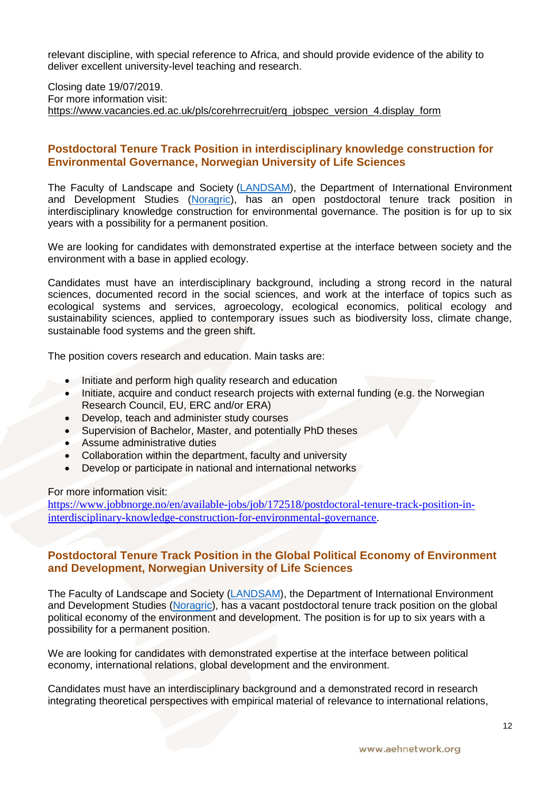relevant discipline, with special reference to Africa, and should provide evidence of the ability to deliver excellent university-level teaching and research.

Closing date 19/07/2019. For more information visit: [https://www.vacancies.ed.ac.uk/pls/corehrrecruit/erq\\_jobspec\\_version\\_4.display\\_form](https://www.vacancies.ed.ac.uk/pls/corehrrecruit/erq_jobspec_version_4.display_form)

#### **Postdoctoral Tenure Track Position in interdisciplinary knowledge construction for Environmental Governance, Norwegian University of Life Sciences**

The Faculty of Landscape and Society [\(LANDSAM\)](http://www.nmbu.no/en/faculty/), the Department of International Environment and Development Studies [\(Noragric\)](https://www.nmbu.no/en/faculty/landsam/department/noragric), has an open postdoctoral tenure track position in interdisciplinary knowledge construction for environmental governance. The position is for up to six years with a possibility for a permanent position.

We are looking for candidates with demonstrated expertise at the interface between society and the environment with a base in applied ecology.

Candidates must have an interdisciplinary background, including a strong record in the natural sciences, documented record in the social sciences, and work at the interface of topics such as ecological systems and services, agroecology, ecological economics, political ecology and sustainability sciences, applied to contemporary issues such as biodiversity loss, climate change, sustainable food systems and the green shift.

The position covers research and education. Main tasks are:

- Initiate and perform high quality research and education
- Initiate, acquire and conduct research projects with external funding (e.g. the Norwegian Research Council, EU, ERC and/or ERA)
- Develop, teach and administer study courses
- Supervision of Bachelor, Master, and potentially PhD theses
- Assume administrative duties
- Collaboration within the department, faculty and university
- Develop or participate in national and international networks

#### For more information visit:

[https://www.jobbnorge.no/en/available-jobs/job/172518/postdoctoral-tenure-track-position-in](https://www.jobbnorge.no/en/available-jobs/job/172518/postdoctoral-tenure-track-position-in-interdisciplinary-knowledge-construction-for-environmental-governance)[interdisciplinary-knowledge-construction-for-environmental-governance.](https://www.jobbnorge.no/en/available-jobs/job/172518/postdoctoral-tenure-track-position-in-interdisciplinary-knowledge-construction-for-environmental-governance)

#### **Postdoctoral Tenure Track Position in the Global Political Economy of Environment and Development, Norwegian University of Life Sciences**

The Faculty of Landscape and Society [\(LANDSAM\)](https://www.nmbu.no/en/faculty/landsam), the Department of International Environment and Development Studies [\(Noragric\)](https://www.nmbu.no/en/faculty/landsam/department/noragric), has a vacant postdoctoral tenure track position on the global political economy of the environment and development. The position is for up to six years with a possibility for a permanent position.

We are looking for candidates with demonstrated expertise at the interface between political economy, international relations, global development and the environment.

Candidates must have an interdisciplinary background and a demonstrated record in research integrating theoretical perspectives with empirical material of relevance to international relations,